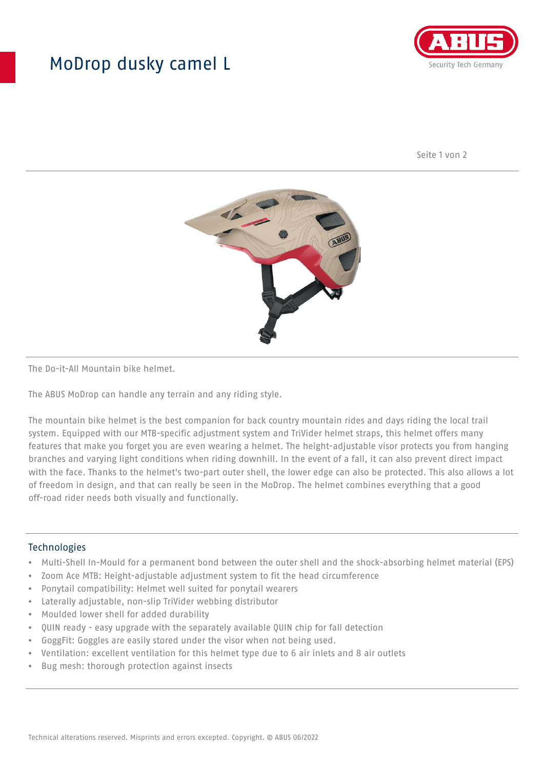## MoDrop dusky camel L



Seite 1 von 2



The Do-it-All Mountain bike helmet.

The ABUS MoDrop can handle any terrain and any riding style.

The mountain bike helmet is the best companion for back country mountain rides and days riding the local trail system. Equipped with our MTB-specific adjustment system and TriVider helmet straps, this helmet offers many features that make you forget you are even wearing a helmet. The height-adjustable visor protects you from hanging branches and varying light conditions when riding downhill. In the event of a fall, it can also prevent direct impact with the face. Thanks to the helmet's two-part outer shell, the lower edge can also be protected. This also allows a lot of freedom in design, and that can really be seen in the MoDrop. The helmet combines everything that a good off-road rider needs both visually and functionally.

## Technologies

- Multi-Shell In-Mould for a permanent bond between the outer shell and the shock-absorbing helmet material (EPS)
- Zoom Ace MTB: Height-adjustable adjustment system to fit the head circumference
- Ponytail compatibility: Helmet well suited for ponytail wearers
- Laterally adjustable, non-slip TriVider webbing distributor
- Moulded lower shell for added durability
- QUIN ready easy upgrade with the separately available QUIN chip for fall detection
- GoggFit: Goggles are easily stored under the visor when not being used.
- Ventilation: excellent ventilation for this helmet type due to 6 air inlets and 8 air outlets
- Bug mesh: thorough protection against insects